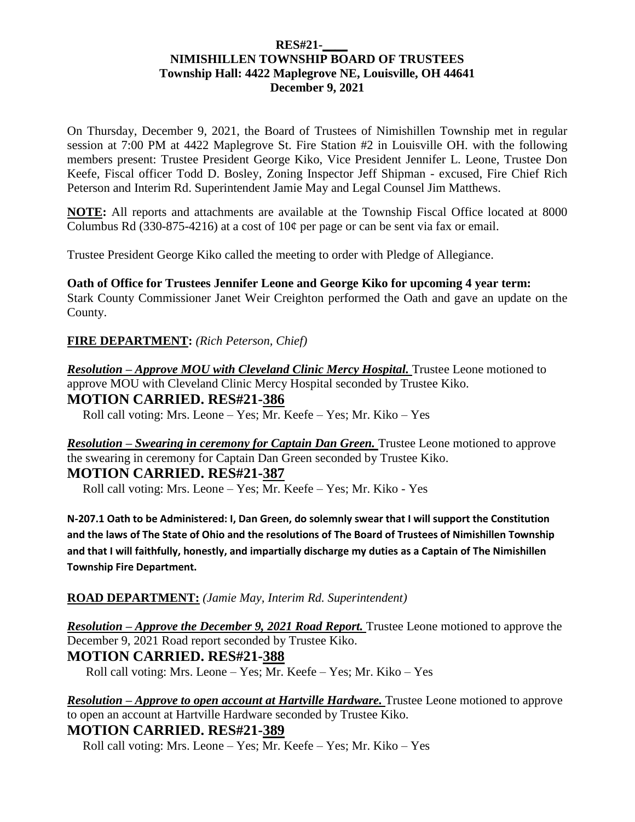#### **RES#21-\_\_\_\_ NIMISHILLEN TOWNSHIP BOARD OF TRUSTEES Township Hall: 4422 Maplegrove NE, Louisville, OH 44641 December 9, 2021**

On Thursday, December 9, 2021, the Board of Trustees of Nimishillen Township met in regular session at 7:00 PM at 4422 Maplegrove St. Fire Station #2 in Louisville OH. with the following members present: Trustee President George Kiko, Vice President Jennifer L. Leone, Trustee Don Keefe, Fiscal officer Todd D. Bosley, Zoning Inspector Jeff Shipman - excused, Fire Chief Rich Peterson and Interim Rd. Superintendent Jamie May and Legal Counsel Jim Matthews.

**NOTE:** All reports and attachments are available at the Township Fiscal Office located at 8000 Columbus Rd (330-875-4216) at a cost of  $10¢$  per page or can be sent via fax or email.

Trustee President George Kiko called the meeting to order with Pledge of Allegiance.

**Oath of Office for Trustees Jennifer Leone and George Kiko for upcoming 4 year term:** Stark County Commissioner Janet Weir Creighton performed the Oath and gave an update on the County.

**FIRE DEPARTMENT:** *(Rich Peterson, Chief)*

*Resolution – Approve MOU with Cleveland Clinic Mercy Hospital.* Trustee Leone motioned to approve MOU with Cleveland Clinic Mercy Hospital seconded by Trustee Kiko. **MOTION CARRIED. RES#21-386**

Roll call voting: Mrs. Leone – Yes; Mr. Keefe – Yes; Mr. Kiko – Yes

*Resolution – Swearing in ceremony for Captain Dan Green.* Trustee Leone motioned to approve the swearing in ceremony for Captain Dan Green seconded by Trustee Kiko. **MOTION CARRIED. RES#21-387** 

Roll call voting: Mrs. Leone – Yes; Mr. Keefe – Yes; Mr. Kiko - Yes

**N-207.1 Oath to be Administered: I, Dan Green, do solemnly swear that I will support the Constitution and the laws of The State of Ohio and the resolutions of The Board of Trustees of Nimishillen Township and that I will faithfully, honestly, and impartially discharge my duties as a Captain of The Nimishillen Township Fire Department.**

#### **ROAD DEPARTMENT:** *(Jamie May, Interim Rd. Superintendent)*

*Resolution – Approve the December 9, 2021 Road Report.* Trustee Leone motioned to approve the December 9, 2021 Road report seconded by Trustee Kiko.

# **MOTION CARRIED. RES#21-388**

Roll call voting: Mrs. Leone – Yes; Mr. Keefe – Yes; Mr. Kiko – Yes

*Resolution – Approve to open account at Hartville Hardware.* Trustee Leone motioned to approve to open an account at Hartville Hardware seconded by Trustee Kiko. **MOTION CARRIED. RES#21-389**

Roll call voting: Mrs. Leone – Yes; Mr. Keefe – Yes; Mr. Kiko – Yes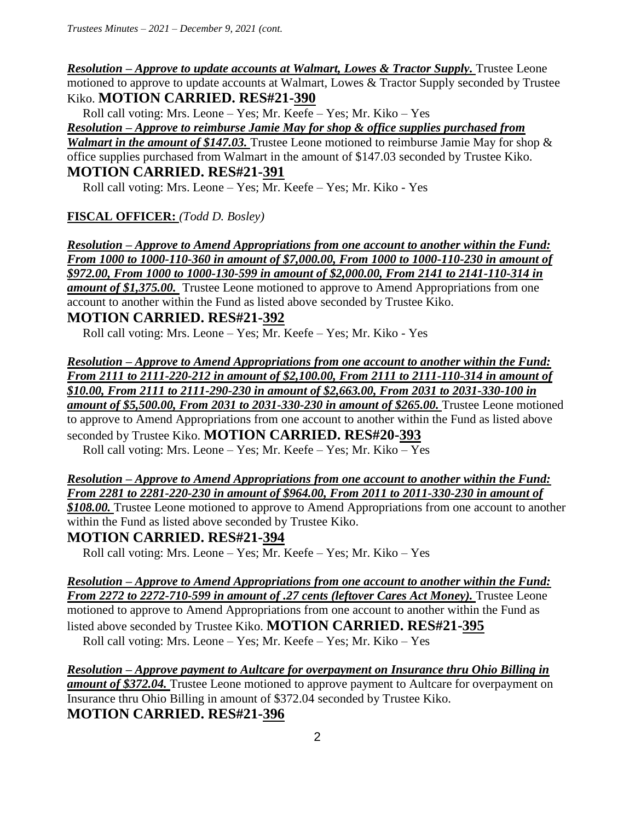*Resolution – Approve to update accounts at Walmart, Lowes & Tractor Supply.* Trustee Leone motioned to approve to update accounts at Walmart, Lowes & Tractor Supply seconded by Trustee Kiko. **MOTION CARRIED. RES#21-390**

Roll call voting: Mrs. Leone – Yes; Mr. Keefe – Yes; Mr. Kiko – Yes

*Resolution – Approve to reimburse Jamie May for shop & office supplies purchased from Walmart in the amount of \$147.03.* Trustee Leone motioned to reimburse Jamie May for shop & office supplies purchased from Walmart in the amount of \$147.03 seconded by Trustee Kiko. **MOTION CARRIED. RES#21-391** 

Roll call voting: Mrs. Leone – Yes; Mr. Keefe – Yes; Mr. Kiko - Yes

**FISCAL OFFICER:** *(Todd D. Bosley)*

*Resolution – Approve to Amend Appropriations from one account to another within the Fund: From 1000 to 1000-110-360 in amount of \$7,000.00, From 1000 to 1000-110-230 in amount of \$972.00, From 1000 to 1000-130-599 in amount of \$2,000.00, From 2141 to 2141-110-314 in amount of \$1,375.00.* Trustee Leone motioned to approve to Amend Appropriations from one account to another within the Fund as listed above seconded by Trustee Kiko. **MOTION CARRIED. RES#21-392**

Roll call voting: Mrs. Leone – Yes; Mr. Keefe – Yes; Mr. Kiko - Yes

*Resolution – Approve to Amend Appropriations from one account to another within the Fund: From 2111 to 2111-220-212 in amount of \$2,100.00, From 2111 to 2111-110-314 in amount of \$10.00, From 2111 to 2111-290-230 in amount of \$2,663.00, From 2031 to 2031-330-100 in*  **amount of \$5,500.00, From 2031 to 2031-330-230 in amount of \$265.00.** Trustee Leone motioned to approve to Amend Appropriations from one account to another within the Fund as listed above seconded by Trustee Kiko. **MOTION CARRIED. RES#20-393**

Roll call voting: Mrs. Leone – Yes; Mr. Keefe – Yes; Mr. Kiko – Yes

*Resolution – Approve to Amend Appropriations from one account to another within the Fund: From 2281 to 2281-220-230 in amount of \$964.00, From 2011 to 2011-330-230 in amount of* 

*\$108.00.* Trustee Leone motioned to approve to Amend Appropriations from one account to another within the Fund as listed above seconded by Trustee Kiko.

**MOTION CARRIED. RES#21-394**

Roll call voting: Mrs. Leone – Yes; Mr. Keefe – Yes; Mr. Kiko – Yes

*Resolution – Approve to Amend Appropriations from one account to another within the Fund: From 2272 to 2272-710-599 in amount of .27 cents (leftover Cares Act Money).* Trustee Leone motioned to approve to Amend Appropriations from one account to another within the Fund as listed above seconded by Trustee Kiko. **MOTION CARRIED. RES#21-395** 

Roll call voting: Mrs. Leone – Yes; Mr. Keefe – Yes; Mr. Kiko – Yes

*Resolution – Approve payment to Aultcare for overpayment on Insurance thru Ohio Billing in amount of \$372.04.* Trustee Leone motioned to approve payment to Aultcare for overpayment on Insurance thru Ohio Billing in amount of \$372.04 seconded by Trustee Kiko. **MOTION CARRIED. RES#21-396**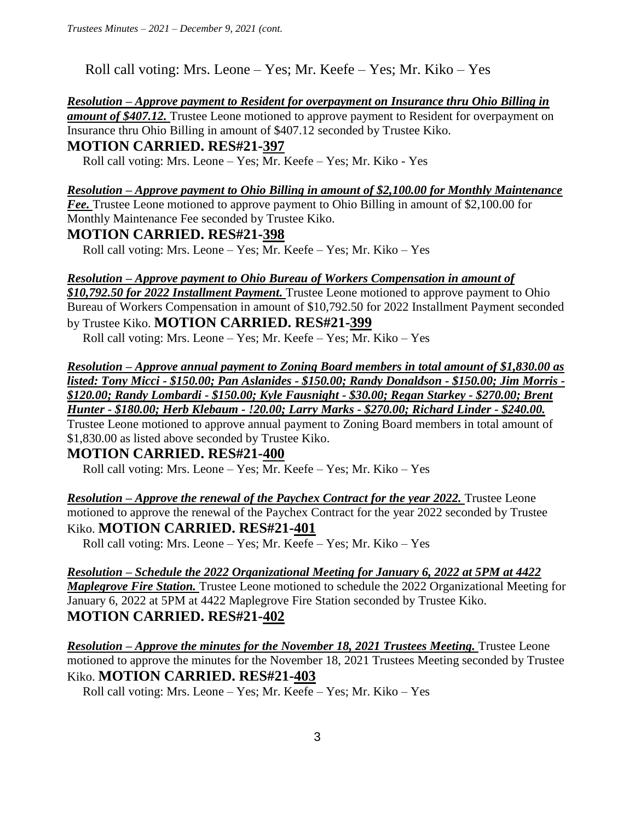Roll call voting: Mrs. Leone – Yes; Mr. Keefe – Yes; Mr. Kiko – Yes

*Resolution – Approve payment to Resident for overpayment on Insurance thru Ohio Billing in amount of \$407.12.* Trustee Leone motioned to approve payment to Resident for overpayment on Insurance thru Ohio Billing in amount of \$407.12 seconded by Trustee Kiko.

## **MOTION CARRIED. RES#21-397**

Roll call voting: Mrs. Leone – Yes; Mr. Keefe – Yes; Mr. Kiko - Yes

# *Resolution – Approve payment to Ohio Billing in amount of \$2,100.00 for Monthly Maintenance Fee.* Trustee Leone motioned to approve payment to Ohio Billing in amount of \$2,100.00 for

Monthly Maintenance Fee seconded by Trustee Kiko.

## **MOTION CARRIED. RES#21-398**

Roll call voting: Mrs. Leone – Yes; Mr. Keefe – Yes; Mr. Kiko – Yes

#### *Resolution – Approve payment to Ohio Bureau of Workers Compensation in amount of*

*\$10,792.50 for 2022 Installment Payment.* Trustee Leone motioned to approve payment to Ohio Bureau of Workers Compensation in amount of \$10,792.50 for 2022 Installment Payment seconded by Trustee Kiko. **MOTION CARRIED. RES#21-399** 

Roll call voting: Mrs. Leone – Yes; Mr. Keefe – Yes; Mr. Kiko – Yes

*Resolution – Approve annual payment to Zoning Board members in total amount of \$1,830.00 as listed: Tony Micci - \$150.00; Pan Aslanides - \$150.00; Randy Donaldson - \$150.00; Jim Morris - \$120.00; Randy Lombardi - \$150.00; Kyle Fausnight - \$30.00; Regan Starkey - \$270.00; Brent Hunter - \$180.00; Herb Klebaum - !20.00; Larry Marks - \$270.00; Richard Linder - \$240.00.* 

Trustee Leone motioned to approve annual payment to Zoning Board members in total amount of \$1,830.00 as listed above seconded by Trustee Kiko.

# **MOTION CARRIED. RES#21-400**

Roll call voting: Mrs. Leone – Yes; Mr. Keefe – Yes; Mr. Kiko – Yes

*Resolution – Approve the renewal of the Paychex Contract for the year 2022.* Trustee Leone motioned to approve the renewal of the Paychex Contract for the year 2022 seconded by Trustee Kiko. **MOTION CARRIED. RES#21-401** 

Roll call voting: Mrs. Leone – Yes; Mr. Keefe – Yes; Mr. Kiko – Yes

*Resolution – Schedule the 2022 Organizational Meeting for January 6, 2022 at 5PM at 4422 Maplegrove Fire Station.* Trustee Leone motioned to schedule the 2022 Organizational Meeting for January 6, 2022 at 5PM at 4422 Maplegrove Fire Station seconded by Trustee Kiko. **MOTION CARRIED. RES#21-402** 

*Resolution – Approve the minutes for the November 18, 2021 Trustees Meeting. Trustee Leone* motioned to approve the minutes for the November 18, 2021 Trustees Meeting seconded by Trustee Kiko. **MOTION CARRIED. RES#21-403** 

Roll call voting: Mrs. Leone – Yes; Mr. Keefe – Yes; Mr. Kiko – Yes